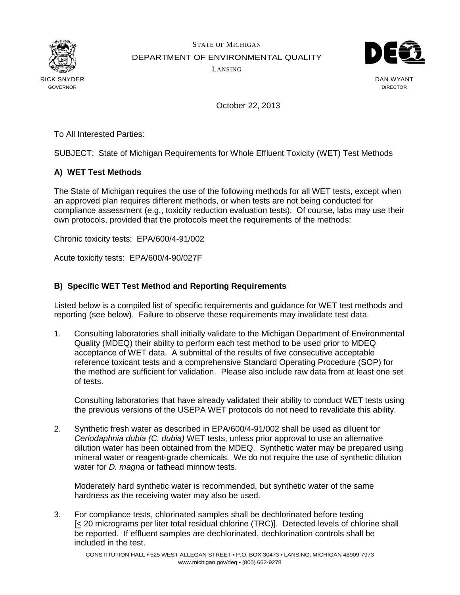

STATE OF MICHIGAN DEPARTMENT OF ENVIRONMENTAL QUALITY LANSING



DAN WYANT DIRECTOR

October 22, 2013

To All Interested Parties:

SUBJECT: State of Michigan Requirements for Whole Effluent Toxicity (WET) Test Methods

## **A) WET Test Methods**

The State of Michigan requires the use of the following methods for all WET tests, except when an approved plan requires different methods, or when tests are not being conducted for compliance assessment (e.g., toxicity reduction evaluation tests). Of course, labs may use their own protocols, provided that the protocols meet the requirements of the methods:

Chronic toxicity tests: EPA/600/4-91/002

Acute toxicity tests: EPA/600/4-90/027F

## **B) Specific WET Test Method and Reporting Requirements**

Listed below is a compiled list of specific requirements and guidance for WET test methods and reporting (see below). Failure to observe these requirements may invalidate test data.

1. Consulting laboratories shall initially validate to the Michigan Department of Environmental Quality (MDEQ) their ability to perform each test method to be used prior to MDEQ acceptance of WET data. A submittal of the results of five consecutive acceptable reference toxicant tests and a comprehensive Standard Operating Procedure (SOP) for the method are sufficient for validation. Please also include raw data from at least one set of tests.

Consulting laboratories that have already validated their ability to conduct WET tests using the previous versions of the USEPA WET protocols do not need to revalidate this ability.

2. Synthetic fresh water as described in EPA/600/4-91/002 shall be used as diluent for Ceriodaphnia dubia (C. dubia) WET tests, unless prior approval to use an alternative dilution water has been obtained from the MDEQ. Synthetic water may be prepared using mineral water or reagent-grade chemicals. We do not require the use of synthetic dilution water for *D. magna* or fathead minnow tests.

 Moderately hard synthetic water is recommended, but synthetic water of the same hardness as the receiving water may also be used.

3. For compliance tests, chlorinated samples shall be dechlorinated before testing  $\leq$  20 micrograms per liter total residual chlorine (TRC)]. Detected levels of chlorine shall be reported. If effluent samples are dechlorinated, dechlorination controls shall be included in the test.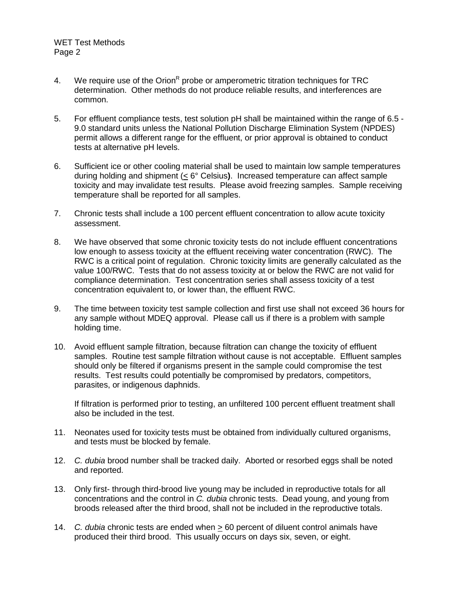- 4. We require use of the Orion<sup>R</sup> probe or amperometric titration techniques for TRC determination. Other methods do not produce reliable results, and interferences are common.
- 5. For effluent compliance tests, test solution pH shall be maintained within the range of 6.5 9.0 standard units unless the National Pollution Discharge Elimination System (NPDES) permit allows a different range for the effluent, or prior approval is obtained to conduct tests at alternative pH levels.
- 6. Sufficient ice or other cooling material shall be used to maintain low sample temperatures during holding and shipment (< 6° Celsius**)**. Increased temperature can affect sample toxicity and may invalidate test results. Please avoid freezing samples. Sample receiving temperature shall be reported for all samples.
- 7. Chronic tests shall include a 100 percent effluent concentration to allow acute toxicity assessment.
- 8. We have observed that some chronic toxicity tests do not include effluent concentrations low enough to assess toxicity at the effluent receiving water concentration (RWC). The RWC is a critical point of regulation. Chronic toxicity limits are generally calculated as the value 100/RWC. Tests that do not assess toxicity at or below the RWC are not valid for compliance determination. Test concentration series shall assess toxicity of a test concentration equivalent to, or lower than, the effluent RWC.
- 9. The time between toxicity test sample collection and first use shall not exceed 36 hours for any sample without MDEQ approval. Please call us if there is a problem with sample holding time.
- 10. Avoid effluent sample filtration, because filtration can change the toxicity of effluent samples. Routine test sample filtration without cause is not acceptable. Effluent samples should only be filtered if organisms present in the sample could compromise the test results. Test results could potentially be compromised by predators, competitors, parasites, or indigenous daphnids.

 If filtration is performed prior to testing, an unfiltered 100 percent effluent treatment shall also be included in the test.

- 11. Neonates used for toxicity tests must be obtained from individually cultured organisms, and tests must be blocked by female.
- 12. C. dubia brood number shall be tracked daily. Aborted or resorbed eggs shall be noted and reported.
- 13. Only first- through third-brood live young may be included in reproductive totals for all concentrations and the control in C. dubia chronic tests. Dead young, and young from broods released after the third brood, shall not be included in the reproductive totals.
- 14. C. dubia chronic tests are ended when > 60 percent of diluent control animals have produced their third brood. This usually occurs on days six, seven, or eight.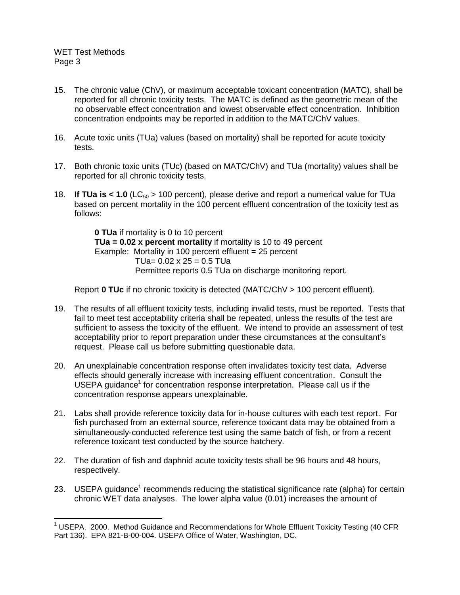## WET Test Methods Page 3

1

- 15. The chronic value (ChV), or maximum acceptable toxicant concentration (MATC), shall be reported for all chronic toxicity tests. The MATC is defined as the geometric mean of the no observable effect concentration and lowest observable effect concentration. Inhibition concentration endpoints may be reported in addition to the MATC/ChV values.
- 16. Acute toxic units (TUa) values (based on mortality) shall be reported for acute toxicity tests.
- 17. Both chronic toxic units (TUc) (based on MATC/ChV) and TUa (mortality) values shall be reported for all chronic toxicity tests.
- 18. **If TUa is < 1.0** ( $LC_{50}$  > 100 percent), please derive and report a numerical value for TUa based on percent mortality in the 100 percent effluent concentration of the toxicity test as follows:

**0 TUa** if mortality is 0 to 10 percent **TUa = 0.02 x percent mortality** if mortality is 10 to 49 percent Example: Mortality in 100 percent effluent = 25 percent  $TUa= 0.02 \times 25 = 0.5$  TUa Permittee reports 0.5 TUa on discharge monitoring report.

Report **0 TUc** if no chronic toxicity is detected (MATC/ChV > 100 percent effluent).

- 19. The results of all effluent toxicity tests, including invalid tests, must be reported. Tests that fail to meet test acceptability criteria shall be repeated, unless the results of the test are sufficient to assess the toxicity of the effluent. We intend to provide an assessment of test acceptability prior to report preparation under these circumstances at the consultant's request. Please call us before submitting questionable data.
- 20. An unexplainable concentration response often invalidates toxicity test data. Adverse effects should generally increase with increasing effluent concentration. Consult the USEPA guidance<sup>1</sup> for concentration response interpretation. Please call us if the concentration response appears unexplainable.
- 21. Labs shall provide reference toxicity data for in-house cultures with each test report. For fish purchased from an external source, reference toxicant data may be obtained from a simultaneously-conducted reference test using the same batch of fish, or from a recent reference toxicant test conducted by the source hatchery.
- 22. The duration of fish and daphnid acute toxicity tests shall be 96 hours and 48 hours, respectively.
- 23. USEPA guidance<sup>1</sup> recommends reducing the statistical significance rate (alpha) for certain chronic WET data analyses. The lower alpha value (0.01) increases the amount of

 $1$  USEPA. 2000. Method Guidance and Recommendations for Whole Effluent Toxicity Testing (40 CFR) Part 136). EPA 821-B-00-004. USEPA Office of Water, Washington, DC.